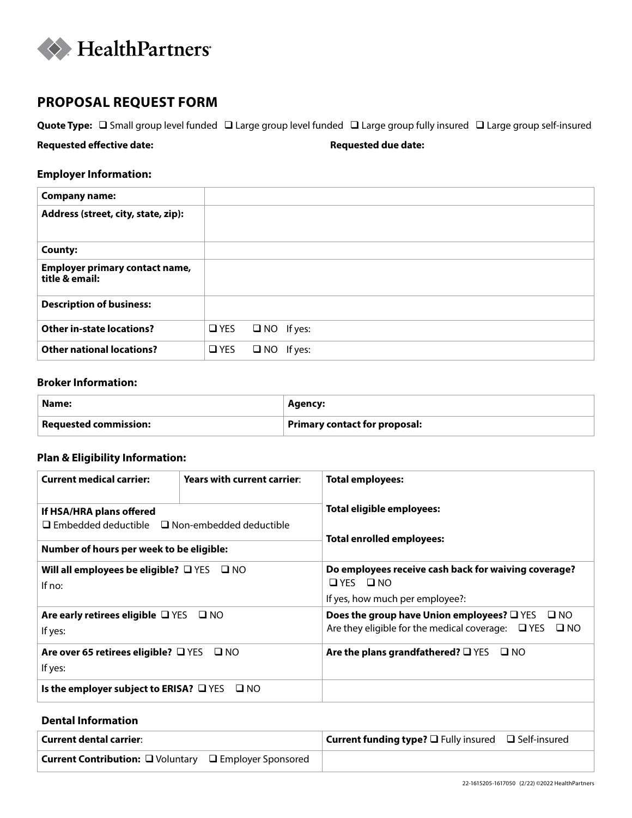

# **PROPOSAL REQUEST FORM**

Quote Type:  $\Box$  Small group level funded  $\Box$  Large group level funded  $\Box$  Large group fully insured  $\Box$  Large group self-insured

**Requested effective date: Requested due date:**

# **Employer Information:**

| <b>Company name:</b>                                    |               |                   |  |
|---------------------------------------------------------|---------------|-------------------|--|
| Address (street, city, state, zip):                     |               |                   |  |
| <b>County:</b>                                          |               |                   |  |
| <b>Employer primary contact name,</b><br>title & email: |               |                   |  |
| <b>Description of business:</b>                         |               |                   |  |
| <b>Other in-state locations?</b>                        | $\square$ YES | $\Box$ NO If yes: |  |
| <b>Other national locations?</b>                        | $\Box$ YES    | $\Box$ NO If yes: |  |

## **Broker Information:**

| Name:                                | Agency:                       |
|--------------------------------------|-------------------------------|
| $\mathsf{I}\,$ Requested commission: | Primary contact for proposal: |

# **Plan & Eligibility Information:**

| <b>Current medical carrier:</b>                                  | Years with current carrier: | <b>Total employees:</b>                                                      |  |  |  |
|------------------------------------------------------------------|-----------------------------|------------------------------------------------------------------------------|--|--|--|
| If HSA/HRA plans offered                                         |                             | Total eligible employees:                                                    |  |  |  |
| $\Box$ Embedded deductible $\Box$ Non-embedded deductible        |                             | Total enrolled employees:                                                    |  |  |  |
| Number of hours per week to be eligible:                         |                             |                                                                              |  |  |  |
| Will all employees be eligible? $\Box$ YES $\Box$ NO<br>If $no:$ |                             | Do employees receive cash back for waiving coverage?<br>$\Box$ YES $\Box$ NO |  |  |  |
|                                                                  |                             | If yes, how much per employee?:                                              |  |  |  |
| Are early retirees eligible $\Box$ YES $\Box$ NO                 |                             | Does the group have Union employees? $\square$ YES $\square$ NO              |  |  |  |
| If yes:                                                          |                             | Are they eligible for the medical coverage: $\Box$ YES $\Box$ NO             |  |  |  |
| Are over 65 retirees eligible? $\Box$ YES $\Box$ NO              |                             | Are the plans grandfathered? $\square$ YES<br>$\square$ NO                   |  |  |  |
| If yes:                                                          |                             |                                                                              |  |  |  |
| Is the employer subject to ERISA? $\Box$ YES                     | $\square$ NO                |                                                                              |  |  |  |
|                                                                  |                             |                                                                              |  |  |  |

# **Dental Information**

| <b>Current dental carrier:</b>                                | <b>Current funding type?</b> $\square$ Fully insured $\square$ Self-insured |
|---------------------------------------------------------------|-----------------------------------------------------------------------------|
| <b>Current Contribution:</b> □ Voluntary □ Employer Sponsored |                                                                             |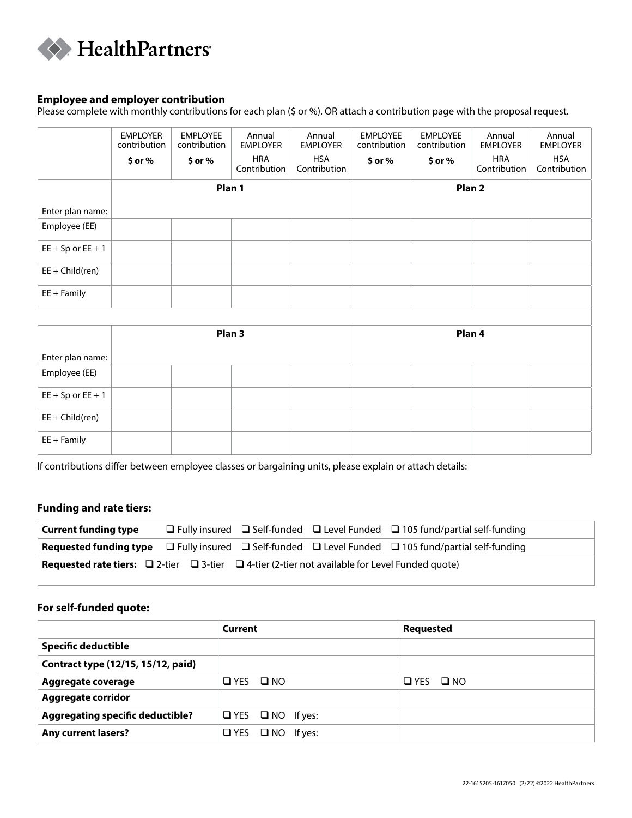

## **Employee and employer contribution**

Please complete with monthly contributions for each plan (\$ or %). OR attach a contribution page with the proposal request.

|                       | <b>EMPLOYER</b><br>contribution | <b>EMPLOYEE</b><br>contribution | Annual<br><b>EMPLOYER</b>  | Annual<br><b>EMPLOYER</b>  | <b>EMPLOYEE</b><br>contribution | <b>EMPLOYEE</b><br>contribution | Annual<br><b>EMPLOYER</b>  | Annual<br><b>EMPLOYER</b>  |
|-----------------------|---------------------------------|---------------------------------|----------------------------|----------------------------|---------------------------------|---------------------------------|----------------------------|----------------------------|
|                       | $$$ or $%$                      | \$ or %                         | <b>HRA</b><br>Contribution | <b>HSA</b><br>Contribution | $$$ or $%$                      | $$$ or $%$                      | <b>HRA</b><br>Contribution | <b>HSA</b><br>Contribution |
|                       |                                 |                                 | Plan 1                     |                            |                                 |                                 | Plan <sub>2</sub>          |                            |
| Enter plan name:      |                                 |                                 |                            |                            |                                 |                                 |                            |                            |
| Employee (EE)         |                                 |                                 |                            |                            |                                 |                                 |                            |                            |
| $EE + Sp$ or $EE + 1$ |                                 |                                 |                            |                            |                                 |                                 |                            |                            |
| $EE + Child(ren)$     |                                 |                                 |                            |                            |                                 |                                 |                            |                            |
| $EE + Family$         |                                 |                                 |                            |                            |                                 |                                 |                            |                            |
|                       |                                 |                                 |                            |                            |                                 |                                 |                            |                            |
|                       |                                 |                                 | Plan <sub>3</sub>          |                            |                                 |                                 | Plan 4                     |                            |
| Enter plan name:      |                                 |                                 |                            |                            |                                 |                                 |                            |                            |
| Employee (EE)         |                                 |                                 |                            |                            |                                 |                                 |                            |                            |
| $EE + Sp$ or $EE + 1$ |                                 |                                 |                            |                            |                                 |                                 |                            |                            |
| $EE + Child(ren)$     |                                 |                                 |                            |                            |                                 |                                 |                            |                            |
| $EE + Family$         |                                 |                                 |                            |                            |                                 |                                 |                            |                            |

If contributions differ between employee classes or bargaining units, please explain or attach details:

## **Funding and rate tiers:**

| <b>Current funding type</b>                                                                                                   |  | $\Box$ Fully insured $\Box$ Self-funded $\Box$ Level Funded $\Box$ 105 fund/partial self-funding                               |
|-------------------------------------------------------------------------------------------------------------------------------|--|--------------------------------------------------------------------------------------------------------------------------------|
|                                                                                                                               |  | <b>Requested funding type</b> $\Box$ Fully insured $\Box$ Self-funded $\Box$ Level Funded $\Box$ 105 fund/partial self-funding |
| <b>Requested rate tiers:</b> $\square$ 2-tier $\square$ 3-tier $\square$ 4-tier (2-tier not available for Level Funded quote) |  |                                                                                                                                |

## **For self-funded quote:**

|                                         | Current                      | <b>Requested</b> |
|-----------------------------------------|------------------------------|------------------|
| <b>Specific deductible</b>              |                              |                  |
| Contract type (12/15, 15/12, paid)      |                              |                  |
| Aggregate coverage                      | $\Box$ YES $\Box$ NO         | OYES ONO         |
| <b>Aggregate corridor</b>               |                              |                  |
| <b>Aggregating specific deductible?</b> | $\Box$ YES $\Box$ NO If yes: |                  |
| <b>Any current lasers?</b>              | $\Box$ YES $\Box$ NO If yes: |                  |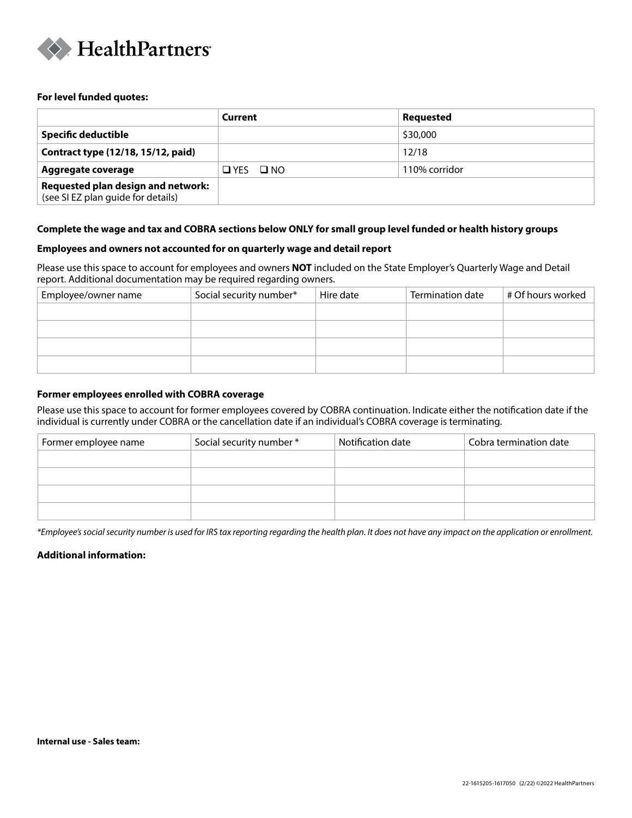

#### **For level funded quotes:**

|                                                                          | Current              | <b>Requested</b> |
|--------------------------------------------------------------------------|----------------------|------------------|
| <b>Specific deductible</b>                                               |                      | \$30,000         |
| Contract type (12/18, 15/12, paid)                                       |                      | 12/18            |
| Aggregate coverage                                                       | $\Box$ YES $\Box$ NO | 110% corridor    |
| Requested plan design and network:<br>(see SI EZ plan guide for details) |                      |                  |

### **Complete the wage and tax and COBRA sections below ONLY for small group level funded or health history groups**

#### **Employees and owners not accounted for on quarterly wage and detail report**

Please use this space to account for employees and owners **NOT** included on the State Employer's Quarterly Wage and Detail report. Additional documentation may be required regarding owners.

| Employee/owner name | Social security number* | Hire date | Termination date | # Of hours worked |
|---------------------|-------------------------|-----------|------------------|-------------------|
|                     |                         |           |                  |                   |
|                     |                         |           |                  |                   |
|                     |                         |           |                  |                   |
|                     |                         |           |                  |                   |
|                     |                         |           |                  |                   |

### **Former employees enrolled with COBRA coverage**

Please use this space to account for former employees covered by COBRA continuation. Indicate either the notification date if the individual is currently under COBRA or the cancellation date if an individual's COBRA coverage is terminating.

| Former employee name | Social security number * | Notification date | Cobra termination date |
|----------------------|--------------------------|-------------------|------------------------|
|                      |                          |                   |                        |
|                      |                          |                   |                        |
|                      |                          |                   |                        |
|                      |                          |                   |                        |

*\*Employee's social security number is used for IRS tax reporting regarding the health plan. It does not have any impact on the application or enrollment.*

### **Additional information:**